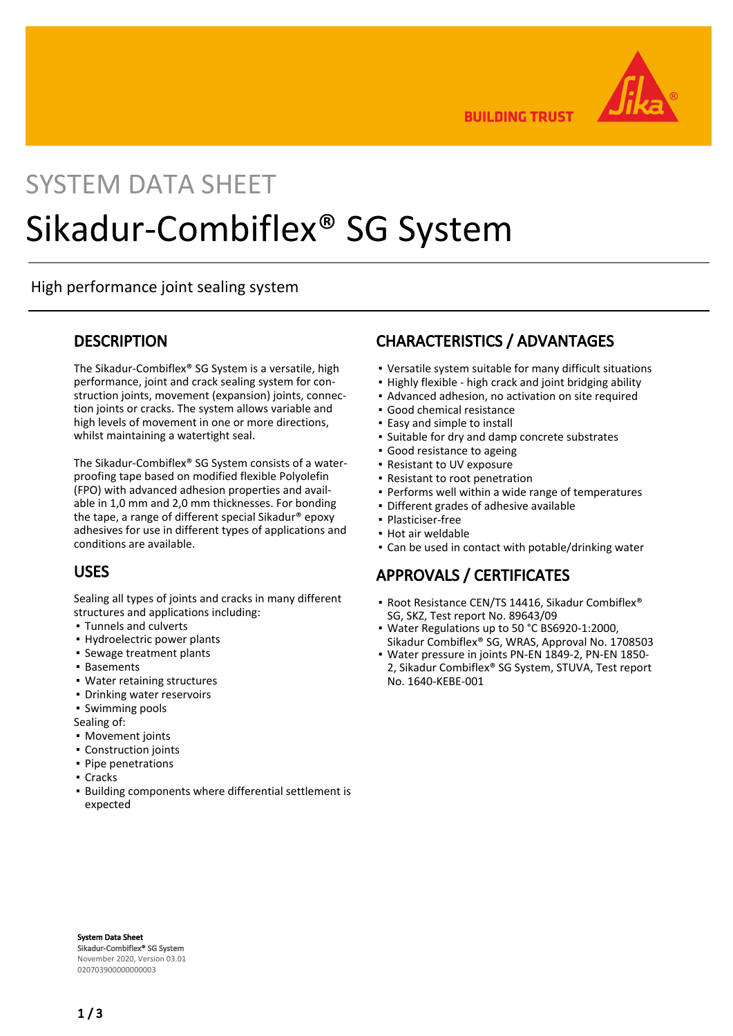

**BUILDING TRUST** 

# SYSTEM DATA SHEET Sikadur-Combiflex® SG System

High performance joint sealing system

### **DESCRIPTION**

The Sikadur-Combiflex® SG System is a versatile, high performance, joint and crack sealing system for construction joints, movement (expansion) joints, connection joints or cracks. The system allows variable and high levels of movement in one or more directions, whilst maintaining a watertight seal.

The Sikadur-Combiflex® SG System consists of a waterproofing tape based on modified flexible Polyolefin (FPO) with advanced adhesion properties and available in 1,0 mm and 2,0 mm thicknesses. For bonding the tape, a range of different special Sikadur® epoxy adhesives for use in different types of applications and conditions are available.

## USES

Sealing all types of joints and cracks in many different structures and applications including:

- Tunnels and culverts
- Hydroelectric power plants
- Sewage treatment plants
- Basements
- Water retaining structures
- Drinking water reservoirs
- Swimming pools

Sealing of:

- Movement joints
- Construction joints
- Pipe penetrations
- Cracks
- **Building components where differential settlement is** expected

## CHARACTERISTICS / ADVANTAGES

- Versatile system suitable for many difficult situations
- Highly flexible high crack and joint bridging ability
- **Advanced adhesion, no activation on site required**
- Good chemical resistance
- Easy and simple to install
- Suitable for dry and damp concrete substrates
- **Good resistance to ageing**
- Resistant to UV exposure
- Resistant to root penetration
- Performs well within a wide range of temperatures
- Different grades of adhesive available
- Plasticiser-free
- Hot air weldable
- Can be used in contact with potable/drinking water

## APPROVALS / CERTIFICATES

- Root Resistance CEN/TS 14416, Sikadur Combiflex® SG, SKZ, Test report No. 89643/09
- Water Regulations up to 50 °C BS6920-1:2000, Sikadur Combiflex® SG, WRAS, Approval No. 1708503
- Water pressure in joints PN-EN 1849-2, PN-EN 1850- 2, Sikadur Combiflex® SG System, STUVA, Test report No. 1640-KEBE-001

System Data Sheet Sikadur-Combiflex® SG System November 2020, Version 03.01 020703900000000003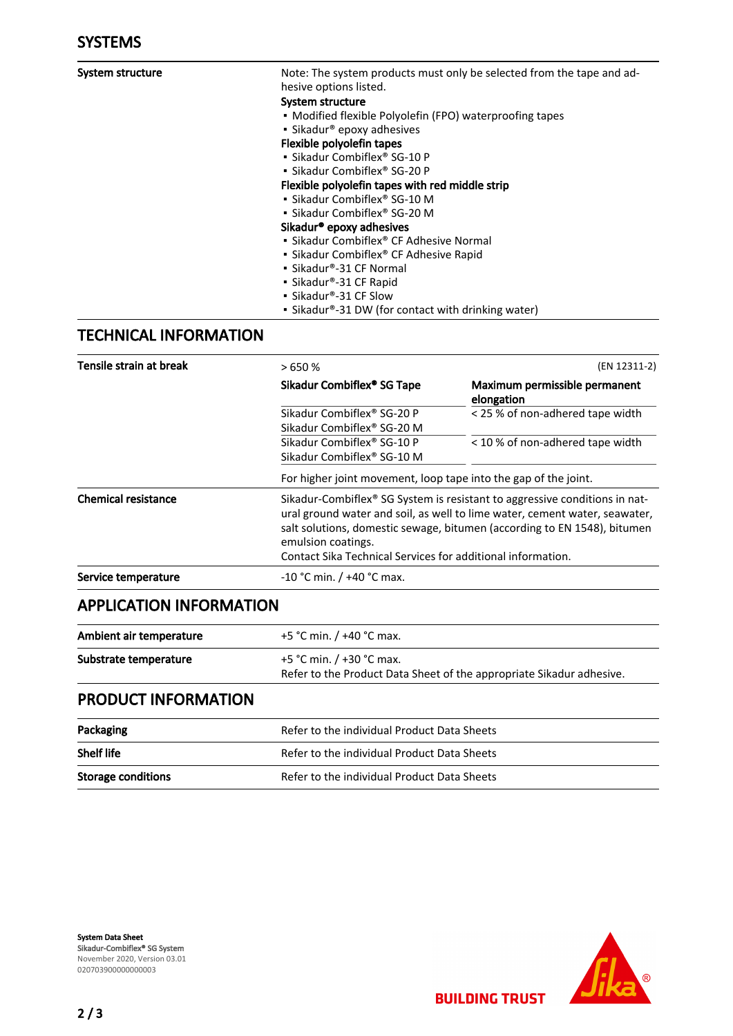| System structure             | Note: The system products must only be selected from the tape and ad- |  |  |
|------------------------------|-----------------------------------------------------------------------|--|--|
|                              | hesive options listed.                                                |  |  |
|                              | System structure                                                      |  |  |
|                              | • Modified flexible Polyolefin (FPO) waterproofing tapes              |  |  |
|                              | • Sikadur <sup>®</sup> epoxy adhesives                                |  |  |
|                              | Flexible polyolefin tapes                                             |  |  |
|                              | • Sikadur Combiflex® SG-10 P                                          |  |  |
|                              | • Sikadur Combiflex® SG-20 P                                          |  |  |
|                              | Flexible polyolefin tapes with red middle strip                       |  |  |
|                              | · Sikadur Combiflex® SG-10 M                                          |  |  |
|                              | • Sikadur Combiflex® SG-20 M                                          |  |  |
|                              |                                                                       |  |  |
|                              | Sikadur <sup>®</sup> epoxy adhesives                                  |  |  |
|                              | • Sikadur Combiflex® CF Adhesive Normal                               |  |  |
|                              | • Sikadur Combiflex <sup>®</sup> CF Adhesive Rapid                    |  |  |
|                              | • Sikadur®-31 CF Normal                                               |  |  |
|                              | • Sikadur®-31 CF Rapid                                                |  |  |
|                              | · Sikadur®-31 CF Slow                                                 |  |  |
|                              | • Sikadur®-31 DW (for contact with drinking water)                    |  |  |
| <b>TECHNICAL INFORMATION</b> |                                                                       |  |  |
| Tensile strain at break      | (EN 12311-2)<br>>650%                                                 |  |  |
|                              |                                                                       |  |  |

|                            | Sikadur Combiflex <sup>®</sup> SG Tape                                                                                                                                                                                                                                                                                                | Maximum permissible permanent<br>elongation |
|----------------------------|---------------------------------------------------------------------------------------------------------------------------------------------------------------------------------------------------------------------------------------------------------------------------------------------------------------------------------------|---------------------------------------------|
|                            | Sikadur Combiflex® SG-20 P                                                                                                                                                                                                                                                                                                            | < 25 % of non-adhered tape width            |
|                            | Sikadur Combiflex <sup>®</sup> SG-20 M                                                                                                                                                                                                                                                                                                |                                             |
|                            | Sikadur Combiflex® SG-10 P                                                                                                                                                                                                                                                                                                            | < 10 % of non-adhered tape width            |
|                            | Sikadur Combiflex <sup>®</sup> SG-10 M                                                                                                                                                                                                                                                                                                |                                             |
|                            | For higher joint movement, loop tape into the gap of the joint.                                                                                                                                                                                                                                                                       |                                             |
| <b>Chemical resistance</b> | Sikadur-Combiflex <sup>®</sup> SG System is resistant to aggressive conditions in nat-<br>ural ground water and soil, as well to lime water, cement water, seawater,<br>salt solutions, domestic sewage, bitumen (according to EN 1548), bitumen<br>emulsion coatings.<br>Contact Sika Technical Services for additional information. |                                             |
| Service temperature        | $-10$ °C min. / $+40$ °C max.                                                                                                                                                                                                                                                                                                         |                                             |

## APPLICATION INFORMATION

| Ambient air temperature | +5 °C min. / +40 °C max.                                                                         |
|-------------------------|--------------------------------------------------------------------------------------------------|
| Substrate temperature   | +5 °C min. / +30 °C max.<br>Refer to the Product Data Sheet of the appropriate Sikadur adhesive. |

# PRODUCT INFORMATION

| Packaging                 | Refer to the individual Product Data Sheets |
|---------------------------|---------------------------------------------|
| <b>Shelf life</b>         | Refer to the individual Product Data Sheets |
| <b>Storage conditions</b> | Refer to the individual Product Data Sheets |

System Data Sheet Sikadur-Combiflex® SG System November 2020, Version 03.01 020703900000000003



**BUILDING TRUST**